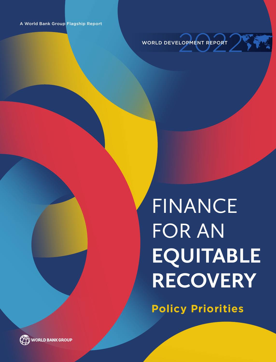<span id="page-0-1"></span>

## FINANCE FOR AN **EQUITABLE RECOVERY**

**Policy Priorities**

<span id="page-0-0"></span>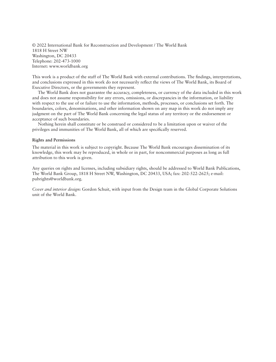© 2022 International Bank for Reconstruction and Development / The World Bank 1818 H Street NW Washington, DC 20433 Telephone: 202-473-1000 Internet: www.worldbank.org

This work is a product of the staff of The World Bank with external contributions. The findings, interpretations, and conclusions expressed in this work do not necessarily reflect the views of The World Bank, its Board of Executive Directors, or the governments they represent.

The World Bank does not guarantee the accuracy, completeness, or currency of the data included in this work and does not assume responsibility for any errors, omissions, or discrepancies in the information, or liability with respect to the use of or failure to use the information, methods, processes, or conclusions set forth. The boundaries, colors, denominations, and other information shown on any map in this work do not imply any judgment on the part of The World Bank concerning the legal status of any territory or the endorsement or acceptance of such boundaries.

Nothing herein shall constitute or be construed or considered to be a limitation upon or waiver of the privileges and immunities of The World Bank, all of which are specifically reserved.

#### **Rights and Permissions**

The material in this work is subject to copyright. Because The World Bank encourages dissemination of its knowledge, this work may be reproduced, in whole or in part, for noncommercial purposes as long as full attribution to this work is given.

Any queries on rights and licenses, including subsidiary rights, should be addressed to World Bank Publications, The World Bank Group, 1818 H Street NW, Washington, DC 20433, USA; fax: 202-522-2625; e-mail: pubrights@worldbank.org.

*Cover and interior design:* Gordon Schuit, with input from the Design team in the Global Corporate Solutions unit of the World Bank.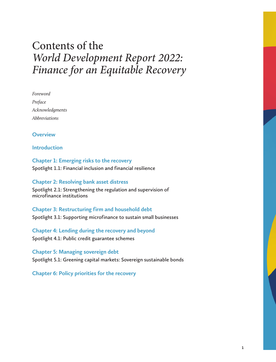### Contents of the *World Development Report 2022: Finance for an Equitable Recovery*

*Foreword Preface Acknowledgments Abbreviations*

**[Overview](#page-0-0)**

**[Introduction](#page-0-1)**

**[Chapter 1: Emerging risks to the recovery](#page-0-0) [Spotlight 1.1: Financial inclusion and financial resilience](#page-0-0)** 

**[Chapter 2: Resolving bank asset distress](#page-0-0) [Spotlight 2.1: Strengthening the regulation and supervision of](#page-0-0)  [microfinance institutions](#page-0-0)**

**[Chapter 3: Restructuring firm and household debt](#page-0-0) [Spotlight 3.1: Supporting microfinance to sustain small businesses](#page-0-0)**

**[Chapter 4: Lending during the recovery and beyond](#page-0-0) [Spotlight 4.1: Public credit guarantee schemes](#page-0-0)**

**Chapter 5: Managing sovereign debt [Spotlight 5.1: Greening capital markets: Sovereign sustainable bonds](#page-0-0)**

**[Chapter 6: Policy priorities for the recovery](#page-0-0)**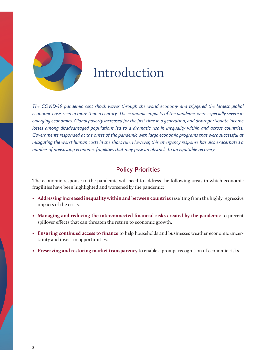

### Introduction

*The COVID-19 pandemic sent shock waves through the world economy and triggered the largest global economic crisis seen in more than a century. The economic impacts of the pandemic were especially severe in emerging economies. Global poverty increased for the first time in a generation, and disproportionate income losses among disadvantaged populations led to a dramatic rise in inequality within and across countries. Governments responded at the onset of the pandemic with large economic programs that were successful at mitigating the worst human costs in the short run. However, this emergency response has also exacerbated a number of preexisting economic fragilities that may pose an obstacle to an equitable recovery.*

#### **Policy Priorities**

The economic response to the pandemic will need to address the following areas in which economic fragilities have been highlighted and worsened by the pandemic:

- • **Addressing increased inequality within and between countries** resulting from the highly regressive impacts of the crisis.
- • **Managing and reducing the interconnected financial risks created by the pandemic** to prevent spillover effects that can threaten the return to economic growth.
- • **Ensuring continued access to finance** to help households and businesses weather economic uncertainty and invest in opportunities.
- • **Preserving and restoring market transparency** to enable a prompt recognition of economic risks.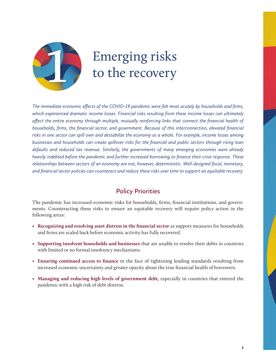

### Emerging risks to the recovery

*The immediate economic effects of the COVID-19 pandemic were felt most acutely by households and firms, which experienced dramatic income losses. Financial risks resulting from these income losses can ultimately affect the entire economy through multiple, mutually reinforcing links that connect the financial health of households, firms, the financial sector, and government. Because of this interconnection, elevated financial risks in one sector can spill over and destabilize the economy as a whole. For example, income losses among businesses and households can create spillover risks for the financial and public sectors through rising loan defaults and reduced tax revenue. Similarly, the governments of many emerging economies were already heavily indebted before the pandemic and further increased borrowing to finance their crisis response. These relationships between sectors of an economy are not, however, deterministic. Well-designed fiscal, monetary, and financial sector policies can counteract and reduce these risks over time to support an equitable recovery.*

#### **Policy Priorities**

The pandemic has increased economic risks for households, firms, financial institutions, and governments. Counteracting these risks to ensure an equitable recovery will require policy action in the following areas:

- **Recognizing and resolving asset distress in the financial sector** as support measures for households and firms are scaled back before economic activity has fully recovered.
- • **Supporting insolvent households and businesses** that are unable to resolve their debts in countries with limited or no formal insolvency mechanisms.
- • **Ensuring continued access to finance** in the face of tightening lending standards resulting from increased economic uncertainty and greater opacity about the true financial health of borrowers.
- • **Managing and reducing high levels of government debt,** especially in countries that entered the pandemic with a high risk of debt distress.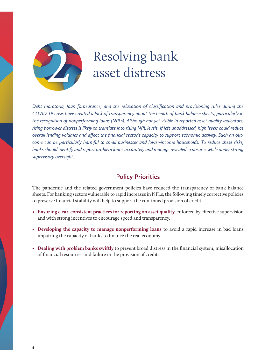

### Resolving bank asset distress

*Debt moratoria, loan forbearance, and the relaxation of classification and provisioning rules during the COVID-19 crisis have created a lack of transparency about the health of bank balance sheets, particularly in the recognition of nonperforming loans (NPLs). Although not yet visible in reported asset quality indicators, rising borrower distress is likely to translate into rising NPL levels. If left unaddressed, high levels could reduce overall lending volumes and affect the financial sector's capacity to support economic activity. Such an outcome can be particularly harmful to small businesses and lower-income households. To reduce these risks, banks should identify and report problem loans accurately and manage revealed exposures while under strong supervisory oversight.*

#### **Policy Priorities**

The pandemic and the related government policies have reduced the transparency of bank balance sheets. For banking sectors vulnerable to rapid increases in NPLs, the following timely corrective policies to preserve financial stability will help to support the continued provision of credit:

- • **Ensuring clear, consistent practices for reporting on asset quality,** enforced by effective supervision and with strong incentives to encourage speed and transparency.
- **Developing the capacity to manage nonperforming loans** to avoid a rapid increase in bad loans impairing the capacity of banks to finance the real economy.
- • **Dealing with problem banks swiftly** to prevent broad distress in the financial system, misallocation of financial resources, and failure in the provision of credit.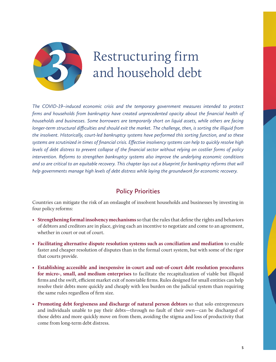

### Restructuring firm and household debt

*The COVID-19–induced economic crisis and the temporary government measures intended to protect firms and households from bankruptcy have created unprecedented opacity about the financial health of households and businesses. Some borrowers are temporarily short on liquid assets, while others are facing longer-term structural difficulties and should exit the market. The challenge, then, is sorting the illiquid from the insolvent. Historically, court-led bankruptcy systems have performed this sorting function, and so these systems are scrutinized in times of financial crisis. Effective insolvency systems can help to quickly resolve high levels of debt distress to prevent collapse of the financial sector without relying on costlier forms of policy intervention. Reforms to strengthen bankruptcy systems also improve the underlying economic conditions*  and so are critical to an equitable recovery. This chapter lays out a blueprint for bankruptcy reforms that will *help governments manage high levels of debt distress while laying the groundwork for economic recovery.*

#### **Policy Priorities**

Countries can mitigate the risk of an onslaught of insolvent households and businesses by investing in four policy reforms:

- **Strengthening formal insolvency mechanisms**so that the rules that define the rights and behaviors of debtors and creditors are in place, giving each an incentive to negotiate and come to an agreement, whether in court or out of court.
- • **Facilitating alternative dispute resolution systems such as conciliation and mediation** to enable faster and cheaper resolution of disputes than in the formal court system, but with some of the rigor that courts provide.
- **Establishing accessible and inexpensive in-court and out-of-court debt resolution procedures for micro-, small, and medium enterprises** to facilitate the recapitalization of viable but illiquid firms and the swift, efficient market exit of nonviable firms. Rules designed for small entities can help resolve their debts more quickly and cheaply with less burden on the judicial system than requiring the same rules regardless of firm size.
- • **Promoting debt forgiveness and discharge of natural person debtors** so that solo entrepreneurs and individuals unable to pay their debts—through no fault of their own—can be discharged of those debts and more quickly move on from them, avoiding the stigma and loss of productivity that come from long-term debt distress.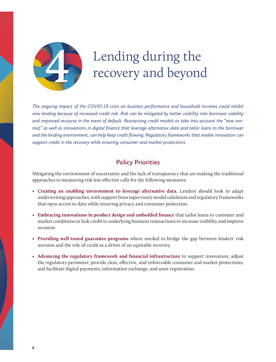

### Lending during the recovery and beyond

*The ongoing impact of the COVID-19 crisis on business performance and household incomes could inhibit new lending because of increased credit risk. Risk can be mitigated by better visibility into borrower viability and improved recourse in the event of default. Reassessing credit models to take into account the "new normal," as well as innovations in digital finance that leverage alternative data and tailor loans to the borrower and the lending environment, can help keep credit flowing. Regulatory frameworks that enable innovation can support credit in the recovery while ensuring consumer and market protections.*

### **Policy Priorities**

Mitigating the environment of uncertainty and the lack of transparency that are making the traditional approaches to measuring risk less effective calls for the following measures:

- • **Creating an enabling environment to leverage alternative data.** Lenders should look to adapt underwriting approaches, with support from supervisory model validation and regulatory frameworks that open access to data while ensuring privacy and consumer protection.
- **Embracing innovations in product design and embedded finance** that tailor loans to customer and market conditions or link credit to underlying business transactions to increase visibility and improve recourse.
- • **Providing well-tuned guarantee programs** where needed to bridge the gap between lenders' risk aversion and the role of credit as a driver of an equitable recovery.
- • **Advancing the regulatory framework and financial infrastructure** to support innovation; adjust the regulatory perimeter; provide clear, effective, and enforceable consumer and market protections; and facilitate digital payments, information exchange, and asset registration.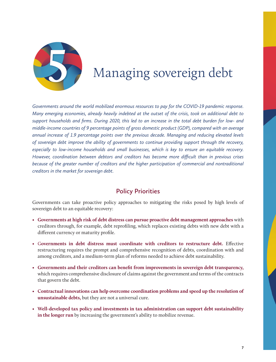

### Managing sovereign debt

*Governments around the world mobilized enormous resources to pay for the COVID-19 pandemic response. Many emerging economies, already heavily indebted at the outset of the crisis, took on additional debt to support households and firms. During 2020, this led to an increase in the total debt burden for low- and middle-income countries of 9 percentage points of gross domestic product (GDP), compared with an average annual increase of 1.9 percentage points over the previous decade. Managing and reducing elevated levels of sovereign debt improve the ability of governments to continue providing support through the recovery, especially to low-income households and small businesses, which is key to ensure an equitable recovery. However, coordination between debtors and creditors has become more difficult than in previous crises because of the greater number of creditors and the higher participation of commercial and nontraditional creditors in the market for sovereign debt.* 

#### **Policy Priorities**

Governments can take proactive policy approaches to mitigating the risks posed by high levels of sovereign debt to an equitable recovery:

- • **Governments at high risk of debt distress can pursue proactive debt management approaches** with creditors through, for example, debt reprofiling, which replaces existing debts with new debt with a different currency or maturity profile.
- •G**overnments in debt distress must coordinate with creditors to restructure debt.** Effective restructuring requires the prompt and comprehensive recognition of debts, coordination with and among creditors, and a medium-term plan of reforms needed to achieve debt sustainability.
- **Governments and their creditors can benefit from improvements in sovereign debt transparency,** which requires comprehensive disclosure of claims against the government and terms of the contracts that govern the debt.
- • **Contractual innovations can help overcome coordination problems and speed up the resolution of unsustainable debts,** but they are not a universal cure.
- • **Well-developed tax policy and investments in tax administration can support debt sustainability in the longer run** by increasing the government's ability to mobilize revenue.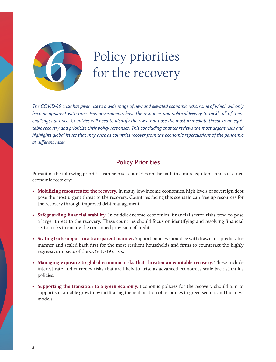

# Policy priorities<br>for the recovery

*The COVID-19 crisis has given rise to a wide range of new and elevated economic risks, some of which will only become apparent with time. Few governments have the resources and political leeway to tackle all of these challenges at once. Countries will need to identify the risks that pose the most immediate threat to an equitable recovery and prioritize their policy responses. This concluding chapter reviews the most urgent risks and highlights global issues that may arise as countries recover from the economic repercussions of the pandemic at different rates.*

#### **Policy Priorities**

Pursuit of the following priorities can help set countries on the path to a more equitable and sustained economic recovery:

- • **Mobilizing resources for the recovery.** In many low-income economies, high levels of sovereign debt pose the most urgent threat to the recovery. Countries facing this scenario can free up resources for the recovery through improved debt management.
- • **Safeguarding financial stability.** In middle-income economies, financial sector risks tend to pose a larger threat to the recovery. These countries should focus on identifying and resolving financial sector risks to ensure the continued provision of credit.
- • **Scaling back support in a transparent manner.** Support policies should be withdrawn in a predictable manner and scaled back first for the most resilient households and firms to counteract the highly regressive impacts of the COVID-19 crisis.
- • **Managing exposure to global economic risks that threaten an equitable recovery.** These include interest rate and currency risks that are likely to arise as advanced economies scale back stimulus policies.
- • **Supporting the transition to a green economy.** Economic policies for the recovery should aim to support sustainable growth by facilitating the reallocation of resources to green sectors and business models.